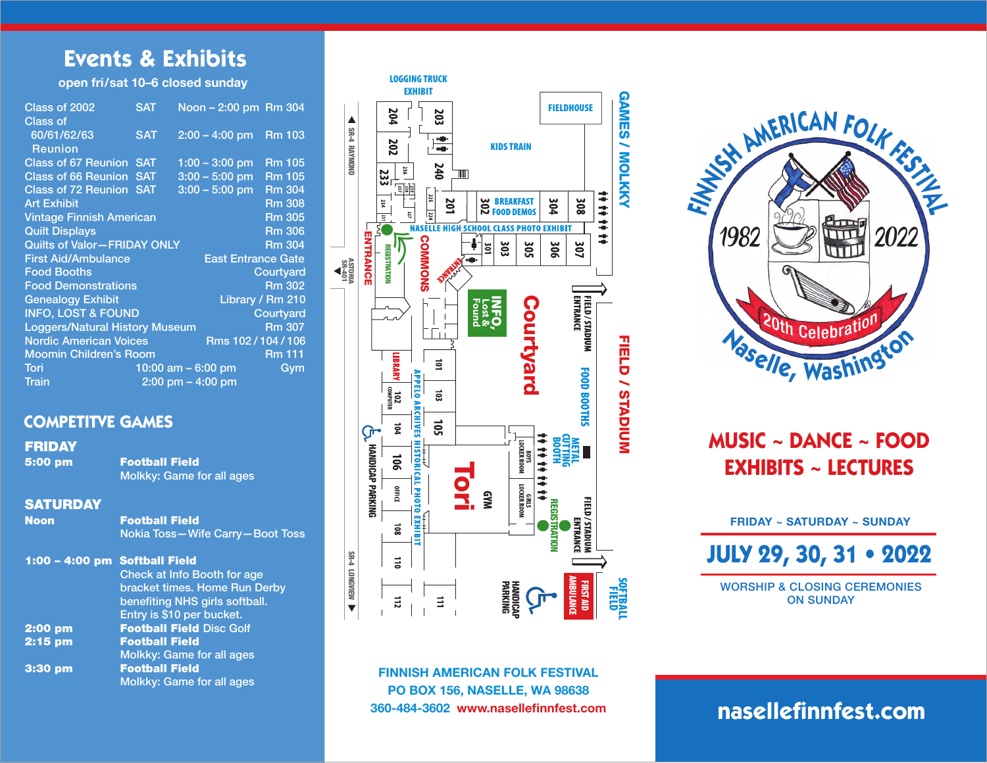# **Events & Exhibits**

#### open fri/sat 10–6 closed sunday

| Class of 2002                                    | <b>SAT</b> | Noon - 2:00 pm Rm 304     |               |
|--------------------------------------------------|------------|---------------------------|---------------|
| Class of                                         |            |                           |               |
| 60/61/62/63                                      | <b>SAT</b> | $2:00 - 4:00$ pm          | <b>Rm 103</b> |
| <b>Reunion</b>                                   |            |                           |               |
| <b>Class of 67 Reunion SAT</b>                   |            | $1:00 - 3:00$ pm          | <b>Rm 105</b> |
| <b>Class of 66 Reunion</b>                       | <b>SAT</b> | $3:00 - 5:00$ pm          | <b>Rm 105</b> |
| <b>Class of 72 Reunion SAT</b>                   |            | $3:00 - 5:00$ pm          | <b>Rm 304</b> |
| <b>Art Exhibit</b>                               |            |                           | <b>Rm 308</b> |
| <b>Vintage Finnish American</b>                  |            | <b>Rm 305</b>             |               |
| <b>Quilt Displays</b>                            |            | <b>Rm 306</b>             |               |
| <b>Quilts of Valor-FRIDAY ONLY</b>               |            |                           | <b>Rm 304</b> |
| <b>First Aid/Ambulance</b>                       |            | <b>East Entrance Gate</b> |               |
| <b>Food Booths</b>                               |            |                           | Courtyard     |
| <b>Food Demonstrations</b>                       |            |                           | <b>Rm 302</b> |
| <b>Genealogy Exhibit</b><br>Library / Rm 210     |            |                           |               |
| <b>INFO, LOST &amp; FOUND</b><br>Courtyard       |            |                           |               |
| <b>Loggers/Natural History Museum</b>            |            | <b>Rm 307</b>             |               |
| <b>Nordic American Voices</b><br>Rms 102/104/106 |            |                           |               |
| <b>Moomin Children's Room</b>                    |            | <b>Rm 111</b>             |               |
| Tori                                             |            | 10:00 am $-$ 6:00 pm      | Gym           |
| Train                                            |            | $2:00$ pm $-4:00$ pm      |               |

## **COMPETITVE GAMES**

#### FRIDAY

5:00 pm Football Field Molkky: Game for all ages

#### **SATURDAY**

Noon Football Field Nokia Toss—Wife Carry—Boot Toss

| 1:00 - 4:00 pm Softball Field | <b>Check at Info Booth for age</b><br>bracket times. Home Run Derby<br>benefiting NHS girls softball.<br>Entry is \$10 per bucket. |
|-------------------------------|------------------------------------------------------------------------------------------------------------------------------------|
| $2:00$ pm                     | <b>Football Field Disc Golf</b>                                                                                                    |
| 2:15 pm                       | <b>Football Field</b>                                                                                                              |
|                               | Molkky: Game for all ages                                                                                                          |
| 3:30 pm                       | <b>Football Field</b>                                                                                                              |
|                               | Molkky: Game for all ages                                                                                                          |



FINNISH AMERICAN FOLK FESTIVAL PO BOX 156, NASELLE, WA 98638

# **<sup>N</sup>aselle, <sup>W</sup>ashingto<sup>n</sup> <sup>F</sup><sup>I</sup>NNIS<sup>H</sup> <sup>A</sup>MERICA<sup>N</sup> <sup>F</sup>OL<sup>K</sup> <sup>F</sup>EST<sup>I</sup>VA<sup>L</sup>** 1982 2022

# **MUSIC ~ DANCE ~ FOOD EXHIBITS ~ LECTURES**

FRIDAY ~ SATURDAY ~ SUNDAY

**JULY 29, 30, 31 • 2022**

WORSHIP & CLOSING CEREMONIES ON SUNDAY

# **nasellefinnfest.com**